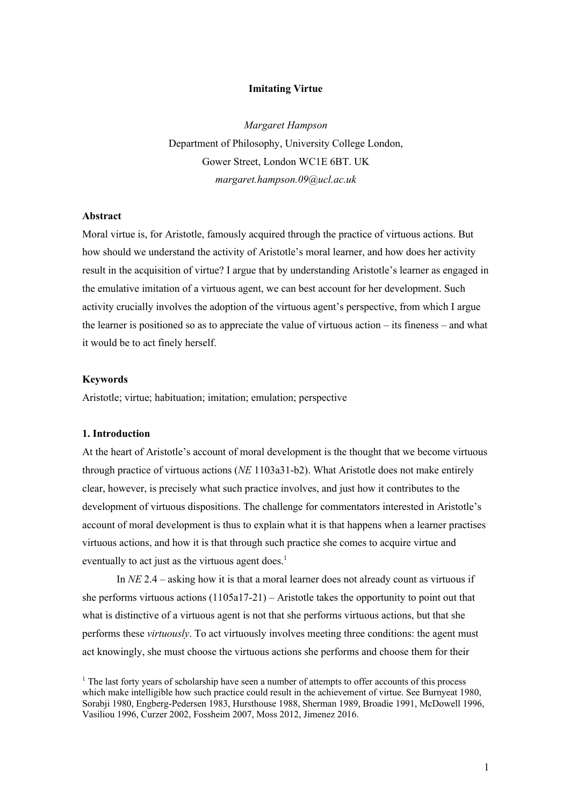### **Imitating Virtue**

*Margaret Hampson* Department of Philosophy, University College London, Gower Street, London WC1E 6BT. UK *margaret.hampson.09@ucl.ac.uk*

# **Abstract**

Moral virtue is, for Aristotle, famously acquired through the practice of virtuous actions. But how should we understand the activity of Aristotle's moral learner, and how does her activity result in the acquisition of virtue? I argue that by understanding Aristotle's learner as engaged in the emulative imitation of a virtuous agent, we can best account for her development. Such activity crucially involves the adoption of the virtuous agent's perspective, from which I argue the learner is positioned so as to appreciate the value of virtuous action – its fineness – and what it would be to act finely herself.

#### **Keywords**

Aristotle; virtue; habituation; imitation; emulation; perspective

## **1. Introduction**

At the heart of Aristotle's account of moral development is the thought that we become virtuous through practice of virtuous actions (*NE* 1103a31-b2). What Aristotle does not make entirely clear, however, is precisely what such practice involves, and just how it contributes to the development of virtuous dispositions. The challenge for commentators interested in Aristotle's account of moral development is thus to explain what it is that happens when a learner practises virtuous actions, and how it is that through such practice she comes to acquire virtue and eventually to act just as the virtuous agent does.<sup>1</sup>

In *NE* 2.4 – asking how it is that a moral learner does not already count as virtuous if she performs virtuous actions (1105a17-21) – Aristotle takes the opportunity to point out that what is distinctive of a virtuous agent is not that she performs virtuous actions, but that she performs these *virtuously*. To act virtuously involves meeting three conditions: the agent must act knowingly, she must choose the virtuous actions she performs and choose them for their

<sup>&</sup>lt;sup>1</sup> The last forty years of scholarship have seen a number of attempts to offer accounts of this process which make intelligible how such practice could result in the achievement of virtue. See Burnyeat 1980, Sorabji 1980, Engberg-Pedersen 1983, Hursthouse 1988, Sherman 1989, Broadie 1991, McDowell 1996, Vasiliou 1996, Curzer 2002, Fossheim 2007, Moss 2012, Jimenez 2016.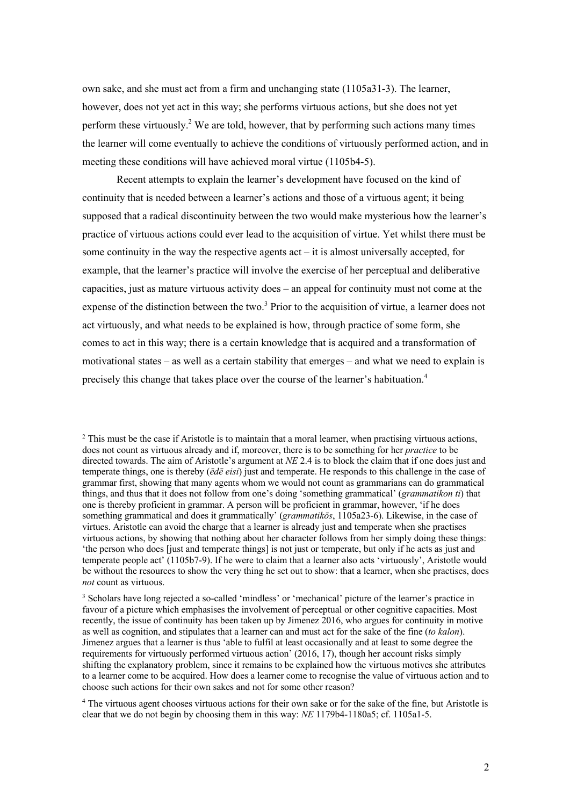own sake, and she must act from a firm and unchanging state (1105a31-3). The learner, however, does not yet act in this way; she performs virtuous actions, but she does not yet perform these virtuously.<sup>2</sup> We are told, however, that by performing such actions many times the learner will come eventually to achieve the conditions of virtuously performed action, and in meeting these conditions will have achieved moral virtue (1105b4-5).

Recent attempts to explain the learner's development have focused on the kind of continuity that is needed between a learner's actions and those of a virtuous agent; it being supposed that a radical discontinuity between the two would make mysterious how the learner's practice of virtuous actions could ever lead to the acquisition of virtue. Yet whilst there must be some continuity in the way the respective agents act – it is almost universally accepted, for example, that the learner's practice will involve the exercise of her perceptual and deliberative capacities, just as mature virtuous activity does – an appeal for continuity must not come at the expense of the distinction between the two.<sup>3</sup> Prior to the acquisition of virtue, a learner does not act virtuously, and what needs to be explained is how, through practice of some form, she comes to act in this way; there is a certain knowledge that is acquired and a transformation of motivational states – as well as a certain stability that emerges – and what we need to explain is precisely this change that takes place over the course of the learner's habituation.<sup>4</sup>

 $<sup>2</sup>$  This must be the case if Aristotle is to maintain that a moral learner, when practising virtuous actions,</sup> does not count as virtuous already and if, moreover, there is to be something for her *practice* to be directed towards. The aim of Aristotle's argument at *NE* 2.4 is to block the claim that if one does just and temperate things, one is thereby (*ēdē eisi*) just and temperate. He responds to this challenge in the case of grammar first, showing that many agents whom we would not count as grammarians can do grammatical things, and thus that it does not follow from one's doing 'something grammatical' (*grammatikon ti*) that one is thereby proficient in grammar. A person will be proficient in grammar, however, 'if he does something grammatical and does it grammatically' (*grammatikōs*, 1105a23-6). Likewise, in the case of virtues. Aristotle can avoid the charge that a learner is already just and temperate when she practises virtuous actions, by showing that nothing about her character follows from her simply doing these things: 'the person who does [just and temperate things] is not just or temperate, but only if he acts as just and temperate people act' (1105b7-9). If he were to claim that a learner also acts 'virtuously', Aristotle would be without the resources to show the very thing he set out to show: that a learner, when she practises, does *not* count as virtuous.

<sup>3</sup> Scholars have long rejected a so-called 'mindless' or 'mechanical' picture of the learner's practice in favour of a picture which emphasises the involvement of perceptual or other cognitive capacities. Most recently, the issue of continuity has been taken up by Jimenez 2016, who argues for continuity in motive as well as cognition, and stipulates that a learner can and must act for the sake of the fine (*to kalon*). Jimenez argues that a learner is thus 'able to fulfil at least occasionally and at least to some degree the requirements for virtuously performed virtuous action' (2016, 17), though her account risks simply shifting the explanatory problem, since it remains to be explained how the virtuous motives she attributes to a learner come to be acquired. How does a learner come to recognise the value of virtuous action and to choose such actions for their own sakes and not for some other reason?

<sup>4</sup> The virtuous agent chooses virtuous actions for their own sake or for the sake of the fine, but Aristotle is clear that we do not begin by choosing them in this way: *NE* 1179b4-1180a5; cf. 1105a1-5.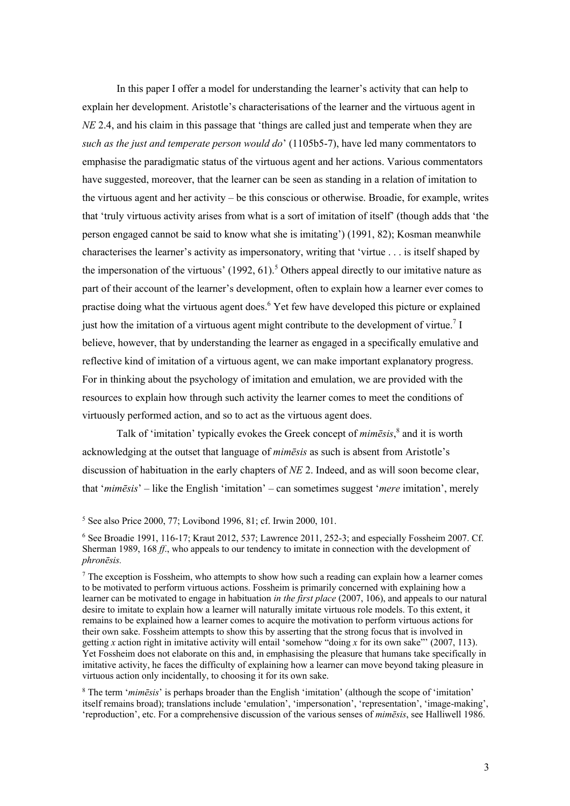In this paper I offer a model for understanding the learner's activity that can help to explain her development. Aristotle's characterisations of the learner and the virtuous agent in *NE* 2.4, and his claim in this passage that 'things are called just and temperate when they are *such as the just and temperate person would do*' (1105b5-7), have led many commentators to emphasise the paradigmatic status of the virtuous agent and her actions. Various commentators have suggested, moreover, that the learner can be seen as standing in a relation of imitation to the virtuous agent and her activity – be this conscious or otherwise. Broadie, for example, writes that 'truly virtuous activity arises from what is a sort of imitation of itself' (though adds that 'the person engaged cannot be said to know what she is imitating') (1991, 82); Kosman meanwhile characterises the learner's activity as impersonatory, writing that 'virtue . . . is itself shaped by the impersonation of the virtuous'  $(1992, 61)$ .<sup>5</sup> Others appeal directly to our imitative nature as part of their account of the learner's development, often to explain how a learner ever comes to practise doing what the virtuous agent does.<sup>6</sup> Yet few have developed this picture or explained just how the imitation of a virtuous agent might contribute to the development of virtue.<sup>7</sup> I believe, however, that by understanding the learner as engaged in a specifically emulative and reflective kind of imitation of a virtuous agent, we can make important explanatory progress. For in thinking about the psychology of imitation and emulation, we are provided with the resources to explain how through such activity the learner comes to meet the conditions of virtuously performed action, and so to act as the virtuous agent does.

Talk of 'imitation' typically evokes the Greek concept of *mimēsis*, <sup>8</sup> and it is worth acknowledging at the outset that language of *mimēsis* as such is absent from Aristotle's discussion of habituation in the early chapters of *NE* 2. Indeed, and as will soon become clear, that '*mimēsis*' – like the English 'imitation' – can sometimes suggest '*mere* imitation', merely

<sup>8</sup> The term '*mimēsis*' is perhaps broader than the English 'imitation' (although the scope of 'imitation' itself remains broad); translations include 'emulation', 'impersonation', 'representation', 'image-making', 'reproduction', etc. For a comprehensive discussion of the various senses of *mimēsis*, see Halliwell 1986.

<sup>5</sup> See also Price 2000, 77; Lovibond 1996, 81; cf. Irwin 2000, 101.

 $6$  See Broadie 1991, 116-17; Kraut 2012, 537; Lawrence 2011, 252-3; and especially Fossheim 2007. Cf. Sherman 1989, 168 *ff*., who appeals to our tendency to imitate in connection with the development of *phronēsis.* 

 $<sup>7</sup>$  The exception is Fossheim, who attempts to show how such a reading can explain how a learner comes</sup> to be motivated to perform virtuous actions. Fossheim is primarily concerned with explaining how a learner can be motivated to engage in habituation *in the first place* (2007, 106), and appeals to our natural desire to imitate to explain how a learner will naturally imitate virtuous role models. To this extent, it remains to be explained how a learner comes to acquire the motivation to perform virtuous actions for their own sake. Fossheim attempts to show this by asserting that the strong focus that is involved in getting *x* action right in imitative activity will entail 'somehow "doing *x* for its own sake"' (2007, 113). Yet Fossheim does not elaborate on this and, in emphasising the pleasure that humans take specifically in imitative activity, he faces the difficulty of explaining how a learner can move beyond taking pleasure in virtuous action only incidentally, to choosing it for its own sake.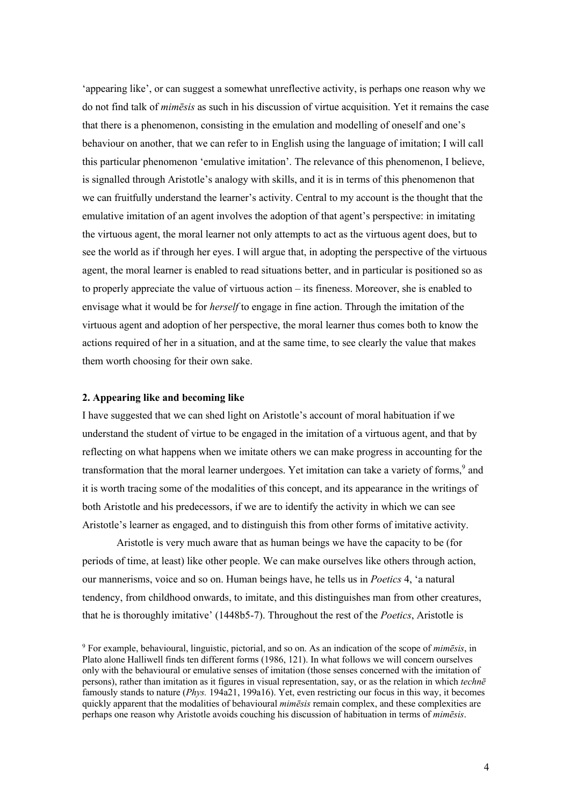'appearing like', or can suggest a somewhat unreflective activity, is perhaps one reason why we do not find talk of *mimēsis* as such in his discussion of virtue acquisition. Yet it remains the case that there is a phenomenon, consisting in the emulation and modelling of oneself and one's behaviour on another, that we can refer to in English using the language of imitation; I will call this particular phenomenon 'emulative imitation'. The relevance of this phenomenon, I believe, is signalled through Aristotle's analogy with skills, and it is in terms of this phenomenon that we can fruitfully understand the learner's activity. Central to my account is the thought that the emulative imitation of an agent involves the adoption of that agent's perspective: in imitating the virtuous agent, the moral learner not only attempts to act as the virtuous agent does, but to see the world as if through her eyes. I will argue that, in adopting the perspective of the virtuous agent, the moral learner is enabled to read situations better, and in particular is positioned so as to properly appreciate the value of virtuous action – its fineness. Moreover, she is enabled to envisage what it would be for *herself* to engage in fine action. Through the imitation of the virtuous agent and adoption of her perspective, the moral learner thus comes both to know the actions required of her in a situation, and at the same time, to see clearly the value that makes them worth choosing for their own sake.

#### **2. Appearing like and becoming like**

I have suggested that we can shed light on Aristotle's account of moral habituation if we understand the student of virtue to be engaged in the imitation of a virtuous agent, and that by reflecting on what happens when we imitate others we can make progress in accounting for the transformation that the moral learner undergoes. Yet imitation can take a variety of forms,<sup>9</sup> and it is worth tracing some of the modalities of this concept, and its appearance in the writings of both Aristotle and his predecessors, if we are to identify the activity in which we can see Aristotle's learner as engaged, and to distinguish this from other forms of imitative activity.

Aristotle is very much aware that as human beings we have the capacity to be (for periods of time, at least) like other people. We can make ourselves like others through action, our mannerisms, voice and so on. Human beings have, he tells us in *Poetics* 4, 'a natural tendency, from childhood onwards, to imitate, and this distinguishes man from other creatures, that he is thoroughly imitative' (1448b5-7). Throughout the rest of the *Poetics*, Aristotle is

<sup>9</sup> For example, behavioural, linguistic, pictorial, and so on. As an indication of the scope of *mimēsis*, in Plato alone Halliwell finds ten different forms (1986, 121). In what follows we will concern ourselves only with the behavioural or emulative senses of imitation (those senses concerned with the imitation of persons), rather than imitation as it figures in visual representation, say, or as the relation in which *technē* famously stands to nature (*Phys.* 194a21, 199a16). Yet, even restricting our focus in this way, it becomes quickly apparent that the modalities of behavioural *mimēsis* remain complex, and these complexities are perhaps one reason why Aristotle avoids couching his discussion of habituation in terms of *mimēsis*.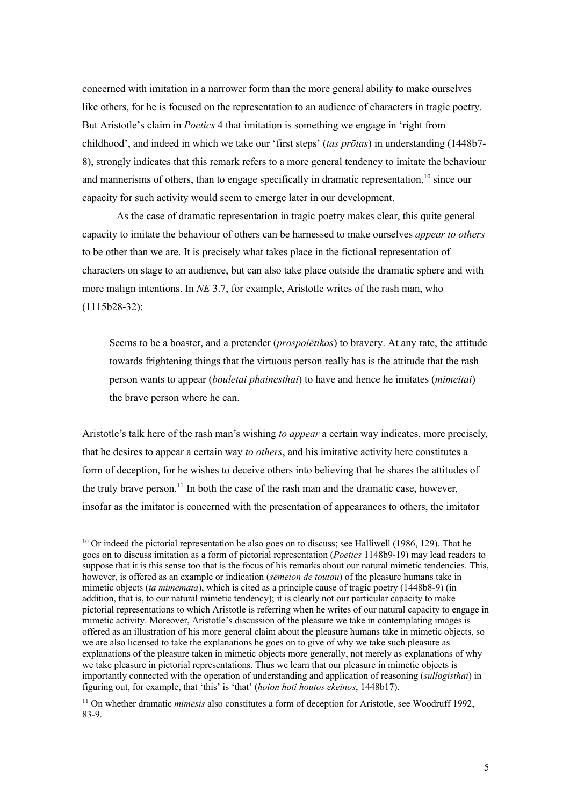concerned with imitation in a narrower form than the more general ability to make ourselves like others, for he is focused on the representation to an audience of characters in tragic poetry. But Aristotle's claim in *Poetics* 4 that imitation is something we engage in 'right from childhood', and indeed in which we take our 'first steps' (*tas prōtas*) in understanding (1448b7- 8), strongly indicates that this remark refers to a more general tendency to imitate the behaviour and mannerisms of others, than to engage specifically in dramatic representation,  $^{10}$  since our capacity for such activity would seem to emerge later in our development.

As the case of dramatic representation in tragic poetry makes clear, this quite general capacity to imitate the behaviour of others can be harnessed to make ourselves *appear to others*  to be other than we are. It is precisely what takes place in the fictional representation of characters on stage to an audience, but can also take place outside the dramatic sphere and with more malign intentions. In *NE* 3.7, for example, Aristotle writes of the rash man, who (1115b28-32):

Seems to be a boaster, and a pretender (*prospoiētikos*) to bravery. At any rate, the attitude towards frightening things that the virtuous person really has is the attitude that the rash person wants to appear (*bouletai phainesthai*) to have and hence he imitates (*mimeitai*) the brave person where he can.

Aristotle's talk here of the rash man's wishing *to appear* a certain way indicates, more precisely, that he desires to appear a certain way *to others*, and his imitative activity here constitutes a form of deception, for he wishes to deceive others into believing that he shares the attitudes of the truly brave person.<sup>11</sup> In both the case of the rash man and the dramatic case, however, insofar as the imitator is concerned with the presentation of appearances to others, the imitator

<sup>11</sup> On whether dramatic *mimēsis* also constitutes a form of deception for Aristotle, see Woodruff 1992, 83-9.

 $10$  Or indeed the pictorial representation he also goes on to discuss; see Halliwell (1986, 129). That he goes on to discuss imitation as a form of pictorial representation (*Poetics* 1148b9-19) may lead readers to suppose that it is this sense too that is the focus of his remarks about our natural mimetic tendencies. This, however, is offered as an example or indication (*sēmeion de toutou*) of the pleasure humans take in mimetic objects (*ta mimēmata*), which is cited as a principle cause of tragic poetry (1448b8-9) (in addition, that is, to our natural mimetic tendency); it is clearly not our particular capacity to make pictorial representations to which Aristotle is referring when he writes of our natural capacity to engage in mimetic activity. Moreover, Aristotle's discussion of the pleasure we take in contemplating images is offered as an illustration of his more general claim about the pleasure humans take in mimetic objects, so we are also licensed to take the explanations he goes on to give of why we take such pleasure as explanations of the pleasure taken in mimetic objects more generally, not merely as explanations of why we take pleasure in pictorial representations. Thus we learn that our pleasure in mimetic objects is importantly connected with the operation of understanding and application of reasoning (*sullogisthai*) in figuring out, for example, that 'this' is 'that' (*hoion hoti houtos ekeinos*, 1448b17).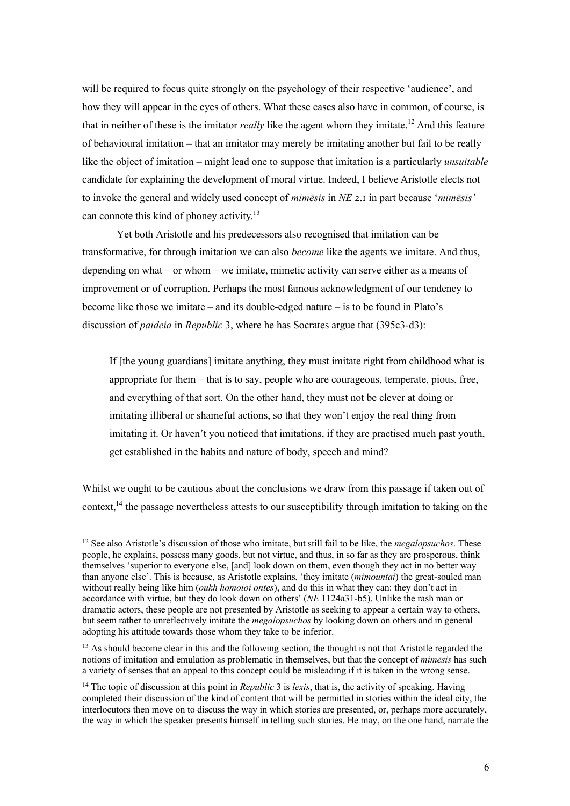will be required to focus quite strongly on the psychology of their respective 'audience', and how they will appear in the eyes of others. What these cases also have in common, of course, is that in neither of these is the imitator *really* like the agent whom they imitate.12 And this feature of behavioural imitation – that an imitator may merely be imitating another but fail to be really like the object of imitation – might lead one to suppose that imitation is a particularly *unsuitable* candidate for explaining the development of moral virtue. Indeed, I believe Aristotle elects not to invoke the general and widely used concept of *mimesis* in *NE* 2.1 in part because '*mimesis'* can connote this kind of phoney activity.<sup>13</sup>

Yet both Aristotle and his predecessors also recognised that imitation can be transformative, for through imitation we can also *become* like the agents we imitate. And thus, depending on what – or whom – we imitate, mimetic activity can serve either as a means of improvement or of corruption. Perhaps the most famous acknowledgment of our tendency to become like those we imitate – and its double-edged nature – is to be found in Plato's discussion of *paideia* in *Republic* 3, where he has Socrates argue that (395c3-d3):

If [the young guardians] imitate anything, they must imitate right from childhood what is appropriate for them – that is to say, people who are courageous, temperate, pious, free, and everything of that sort. On the other hand, they must not be clever at doing or imitating illiberal or shameful actions, so that they won't enjoy the real thing from imitating it. Or haven't you noticed that imitations, if they are practised much past youth, get established in the habits and nature of body, speech and mind?

Whilst we ought to be cautious about the conclusions we draw from this passage if taken out of context, $14$  the passage nevertheless attests to our susceptibility through imitation to taking on the

<sup>13</sup> As should become clear in this and the following section, the thought is not that Aristotle regarded the notions of imitation and emulation as problematic in themselves, but that the concept of *mimēsis* has such a variety of senses that an appeal to this concept could be misleading if it is taken in the wrong sense.

<sup>14</sup> The topic of discussion at this point in *Republic* 3 is *lexis*, that is, the activity of speaking. Having completed their discussion of the kind of content that will be permitted in stories within the ideal city, the interlocutors then move on to discuss the way in which stories are presented, or, perhaps more accurately, the way in which the speaker presents himself in telling such stories. He may, on the one hand, narrate the

<sup>12</sup> See also Aristotle's discussion of those who imitate, but still fail to be like, the *megalopsuchos*. These people, he explains, possess many goods, but not virtue, and thus, in so far as they are prosperous, think themselves 'superior to everyone else, [and] look down on them, even though they act in no better way than anyone else'. This is because, as Aristotle explains, 'they imitate (*mimountai*) the great-souled man without really being like him (*oukh homoioi ontes*), and do this in what they can: they don't act in accordance with virtue, but they do look down on others' (*NE* 1124a31-b5). Unlike the rash man or dramatic actors, these people are not presented by Aristotle as seeking to appear a certain way to others, but seem rather to unreflectively imitate the *megalopsuchos* by looking down on others and in general adopting his attitude towards those whom they take to be inferior.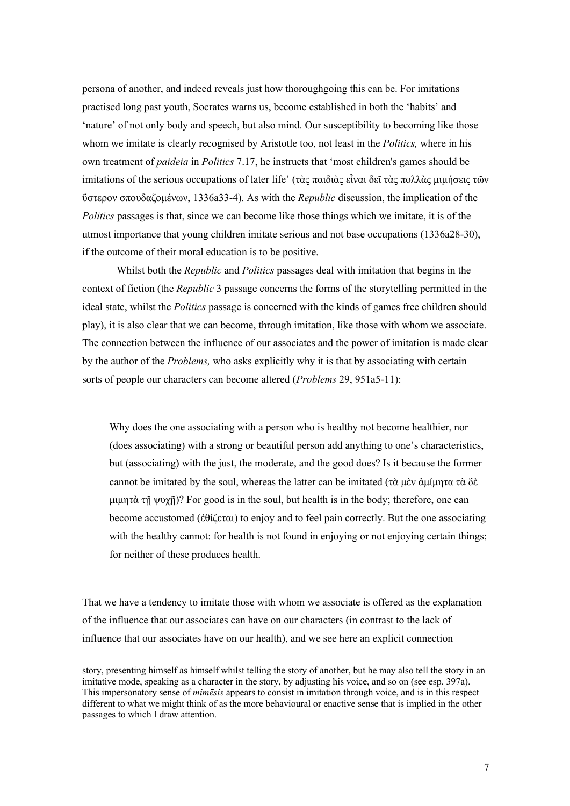persona of another, and indeed reveals just how thoroughgoing this can be. For imitations practised long past youth, Socrates warns us, become established in both the 'habits' and 'nature' of not only body and speech, but also mind. Our susceptibility to becoming like those whom we imitate is clearly recognised by Aristotle too, not least in the *Politics,* where in his own treatment of *paideia* in *Politics* 7.17, he instructs that 'most children's games should be imitations of the serious occupations of later life' (τὰς παιδιὰς εἶναι δεῖ τὰς πολλὰς μιμήσεις τῶν ὕστερον σπουδαζομένων, 1336a33-4). As with the *Republic* discussion, the implication of the *Politics* passages is that, since we can become like those things which we imitate, it is of the utmost importance that young children imitate serious and not base occupations (1336a28-30), if the outcome of their moral education is to be positive.

Whilst both the *Republic* and *Politics* passages deal with imitation that begins in the context of fiction (the *Republic* 3 passage concerns the forms of the storytelling permitted in the ideal state, whilst the *Politics* passage is concerned with the kinds of games free children should play), it is also clear that we can become, through imitation, like those with whom we associate. The connection between the influence of our associates and the power of imitation is made clear by the author of the *Problems,* who asks explicitly why it is that by associating with certain sorts of people our characters can become altered (*Problems* 29, 951a5-11):

Why does the one associating with a person who is healthy not become healthier, nor (does associating) with a strong or beautiful person add anything to one's characteristics, but (associating) with the just, the moderate, and the good does? Is it because the former cannot be imitated by the soul, whereas the latter can be imitated (τὰ μὲν ἀμίμητα τὰ δὲ μιμητὰ τῇ ψυχῇ)? For good is in the soul, but health is in the body; therefore, one can become accustomed (ἐθίζεται) to enjoy and to feel pain correctly. But the one associating with the healthy cannot: for health is not found in enjoying or not enjoying certain things; for neither of these produces health.

That we have a tendency to imitate those with whom we associate is offered as the explanation of the influence that our associates can have on our characters (in contrast to the lack of influence that our associates have on our health), and we see here an explicit connection

story, presenting himself as himself whilst telling the story of another, but he may also tell the story in an imitative mode, speaking as a character in the story, by adjusting his voice, and so on (see esp. 397a). This impersonatory sense of *mimēsis* appears to consist in imitation through voice, and is in this respect different to what we might think of as the more behavioural or enactive sense that is implied in the other passages to which I draw attention.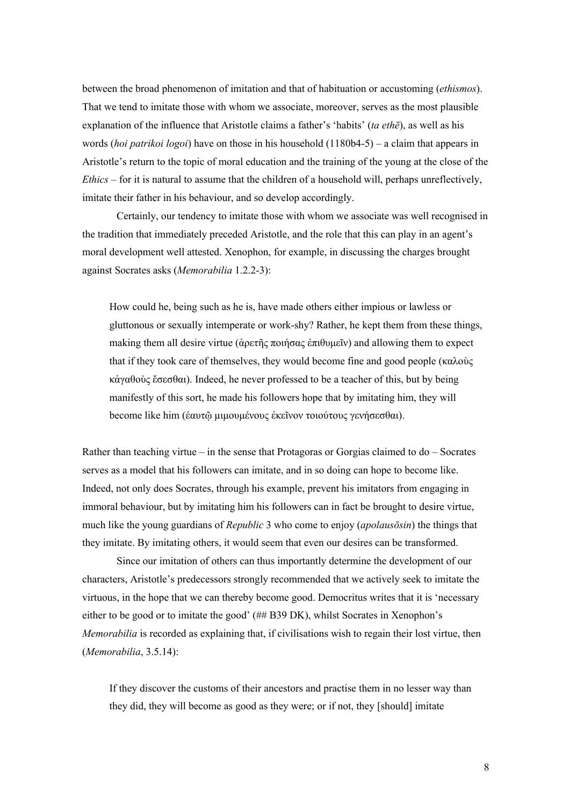between the broad phenomenon of imitation and that of habituation or accustoming (*ethismos*). That we tend to imitate those with whom we associate, moreover, serves as the most plausible explanation of the influence that Aristotle claims a father's 'habits' (*ta ethē*), as well as his words (*hoi patrikoi logoi*) have on those in his household (1180b4-5) – a claim that appears in Aristotle's return to the topic of moral education and the training of the young at the close of the *Ethics –* for it is natural to assume that the children of a household will, perhaps unreflectively, imitate their father in his behaviour, and so develop accordingly.

Certainly, our tendency to imitate those with whom we associate was well recognised in the tradition that immediately preceded Aristotle, and the role that this can play in an agent's moral development well attested. Xenophon, for example, in discussing the charges brought against Socrates asks (*Memorabilia* 1.2.2-3):

How could he, being such as he is, have made others either impious or lawless or gluttonous or sexually intemperate or work-shy? Rather, he kept them from these things, making them all desire virtue (ἀρετῆς ποιήσας ἐπιθυμεῖν) and allowing them to expect that if they took care of themselves, they would become fine and good people (καλοὺς κἀγαθοὺς ἔσεσθαι). Indeed, he never professed to be a teacher of this, but by being manifestly of this sort, he made his followers hope that by imitating him, they will become like him (ἑαυτῷ μιμουμένους ἐκεῖνον τοιούτους γενήσεσθαι).

Rather than teaching virtue – in the sense that Protagoras or Gorgias claimed to  $d\sigma$  – Socrates serves as a model that his followers can imitate, and in so doing can hope to become like. Indeed, not only does Socrates, through his example, prevent his imitators from engaging in immoral behaviour, but by imitating him his followers can in fact be brought to desire virtue, much like the young guardians of *Republic* 3 who come to enjoy (*apolausōsin*) the things that they imitate. By imitating others, it would seem that even our desires can be transformed.

Since our imitation of others can thus importantly determine the development of our characters, Aristotle's predecessors strongly recommended that we actively seek to imitate the virtuous, in the hope that we can thereby become good. Democritus writes that it is 'necessary either to be good or to imitate the good' (## B39 DK), whilst Socrates in Xenophon's *Memorabilia* is recorded as explaining that, if civilisations wish to regain their lost virtue, then (*Memorabilia*, 3.5.14):

If they discover the customs of their ancestors and practise them in no lesser way than they did, they will become as good as they were; or if not, they [should] imitate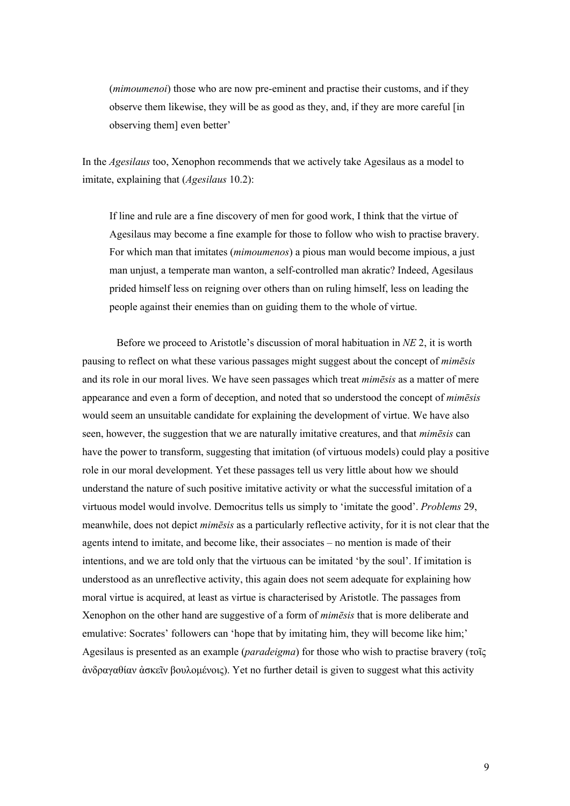(*mimoumenoi*) those who are now pre-eminent and practise their customs, and if they observe them likewise, they will be as good as they, and, if they are more careful [in observing them] even better'

In the *Agesilaus* too, Xenophon recommends that we actively take Agesilaus as a model to imitate, explaining that (*Agesilaus* 10.2):

If line and rule are a fine discovery of men for good work, I think that the virtue of Agesilaus may become a fine example for those to follow who wish to practise bravery. For which man that imitates (*mimoumenos*) a pious man would become impious, a just man unjust, a temperate man wanton, a self-controlled man akratic? Indeed, Agesilaus prided himself less on reigning over others than on ruling himself, less on leading the people against their enemies than on guiding them to the whole of virtue.

Before we proceed to Aristotle's discussion of moral habituation in *NE* 2, it is worth pausing to reflect on what these various passages might suggest about the concept of *mimēsis* and its role in our moral lives. We have seen passages which treat *mimēsis* as a matter of mere appearance and even a form of deception, and noted that so understood the concept of *mimēsis* would seem an unsuitable candidate for explaining the development of virtue. We have also seen, however, the suggestion that we are naturally imitative creatures, and that *mimēsis* can have the power to transform, suggesting that imitation (of virtuous models) could play a positive role in our moral development. Yet these passages tell us very little about how we should understand the nature of such positive imitative activity or what the successful imitation of a virtuous model would involve. Democritus tells us simply to 'imitate the good'. *Problems* 29, meanwhile, does not depict *mimēsis* as a particularly reflective activity, for it is not clear that the agents intend to imitate, and become like, their associates – no mention is made of their intentions, and we are told only that the virtuous can be imitated 'by the soul'. If imitation is understood as an unreflective activity, this again does not seem adequate for explaining how moral virtue is acquired, at least as virtue is characterised by Aristotle. The passages from Xenophon on the other hand are suggestive of a form of *mimēsis* that is more deliberate and emulative: Socrates' followers can 'hope that by imitating him, they will become like him;' Agesilaus is presented as an example (*paradeigma*) for those who wish to practise bravery (τοῖς ἀνδραγαθίαν ἀσκεῖν βουλομένοις). Yet no further detail is given to suggest what this activity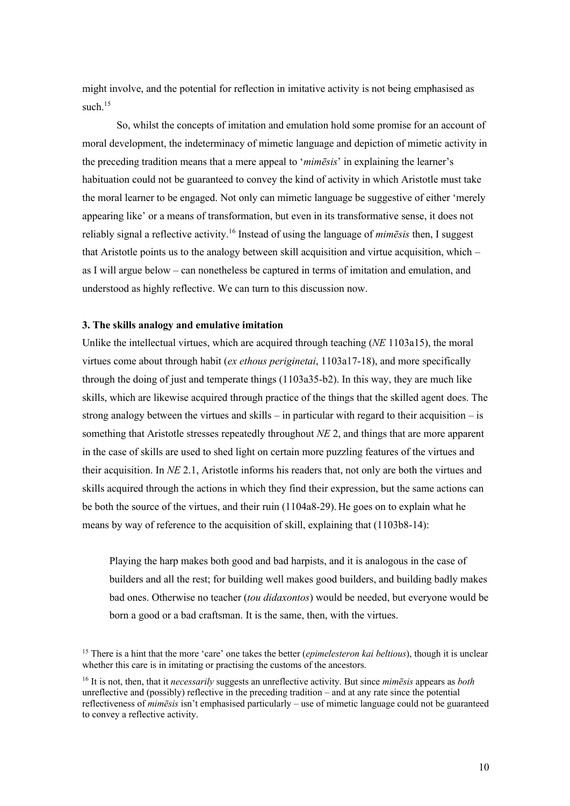might involve, and the potential for reflection in imitative activity is not being emphasised as such. $15$ 

So, whilst the concepts of imitation and emulation hold some promise for an account of moral development, the indeterminacy of mimetic language and depiction of mimetic activity in the preceding tradition means that a mere appeal to '*mimēsis*' in explaining the learner's habituation could not be guaranteed to convey the kind of activity in which Aristotle must take the moral learner to be engaged. Not only can mimetic language be suggestive of either 'merely appearing like' or a means of transformation, but even in its transformative sense, it does not reliably signal a reflective activity.<sup>16</sup> Instead of using the language of *mimēsis* then, I suggest that Aristotle points us to the analogy between skill acquisition and virtue acquisition, which – as I will argue below – can nonetheless be captured in terms of imitation and emulation, and understood as highly reflective. We can turn to this discussion now.

### **3. The skills analogy and emulative imitation**

Unlike the intellectual virtues, which are acquired through teaching (*NE* 1103a15), the moral virtues come about through habit (*ex ethous periginetai*, 1103a17-18), and more specifically through the doing of just and temperate things (1103a35-b2). In this way, they are much like skills, which are likewise acquired through practice of the things that the skilled agent does. The strong analogy between the virtues and skills  $-$  in particular with regard to their acquisition  $-$  is something that Aristotle stresses repeatedly throughout *NE* 2, and things that are more apparent in the case of skills are used to shed light on certain more puzzling features of the virtues and their acquisition. In *NE* 2.1, Aristotle informs his readers that, not only are both the virtues and skills acquired through the actions in which they find their expression, but the same actions can be both the source of the virtues, and their ruin (1104a8-29). He goes on to explain what he means by way of reference to the acquisition of skill, explaining that (1103b8-14):

Playing the harp makes both good and bad harpists, and it is analogous in the case of builders and all the rest; for building well makes good builders, and building badly makes bad ones. Otherwise no teacher (*tou didaxontos*) would be needed, but everyone would be born a good or a bad craftsman. It is the same, then, with the virtues.

<sup>&</sup>lt;sup>15</sup> There is a hint that the more 'care' one takes the better (*epimelesteron kai beltious*), though it is unclear whether this care is in imitating or practising the customs of the ancestors.

<sup>16</sup> It is not, then, that it *necessarily* suggests an unreflective activity. But since *mimēsis* appears as *both* unreflective and (possibly) reflective in the preceding tradition – and at any rate since the potential reflectiveness of *mimēsis* isn't emphasised particularly – use of mimetic language could not be guaranteed to convey a reflective activity.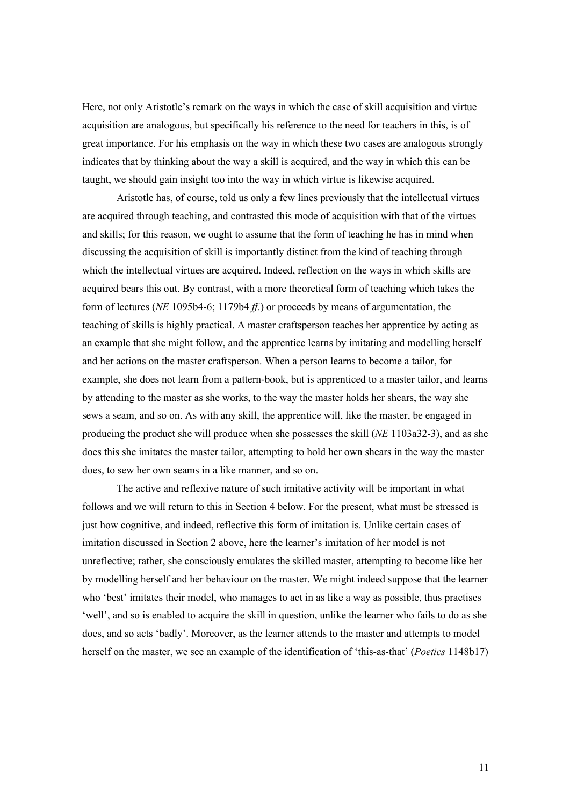Here, not only Aristotle's remark on the ways in which the case of skill acquisition and virtue acquisition are analogous, but specifically his reference to the need for teachers in this, is of great importance. For his emphasis on the way in which these two cases are analogous strongly indicates that by thinking about the way a skill is acquired, and the way in which this can be taught, we should gain insight too into the way in which virtue is likewise acquired.

Aristotle has, of course, told us only a few lines previously that the intellectual virtues are acquired through teaching, and contrasted this mode of acquisition with that of the virtues and skills; for this reason, we ought to assume that the form of teaching he has in mind when discussing the acquisition of skill is importantly distinct from the kind of teaching through which the intellectual virtues are acquired. Indeed, reflection on the ways in which skills are acquired bears this out. By contrast, with a more theoretical form of teaching which takes the form of lectures (*NE* 1095b4-6; 1179b4 *ff*.) or proceeds by means of argumentation, the teaching of skills is highly practical. A master craftsperson teaches her apprentice by acting as an example that she might follow, and the apprentice learns by imitating and modelling herself and her actions on the master craftsperson. When a person learns to become a tailor, for example, she does not learn from a pattern-book, but is apprenticed to a master tailor, and learns by attending to the master as she works, to the way the master holds her shears, the way she sews a seam, and so on. As with any skill, the apprentice will, like the master, be engaged in producing the product she will produce when she possesses the skill (*NE* 1103a32-3), and as she does this she imitates the master tailor, attempting to hold her own shears in the way the master does, to sew her own seams in a like manner, and so on.

The active and reflexive nature of such imitative activity will be important in what follows and we will return to this in Section 4 below. For the present, what must be stressed is just how cognitive, and indeed, reflective this form of imitation is. Unlike certain cases of imitation discussed in Section 2 above, here the learner's imitation of her model is not unreflective; rather, she consciously emulates the skilled master, attempting to become like her by modelling herself and her behaviour on the master. We might indeed suppose that the learner who 'best' imitates their model, who manages to act in as like a way as possible, thus practises 'well', and so is enabled to acquire the skill in question, unlike the learner who fails to do as she does, and so acts 'badly'. Moreover, as the learner attends to the master and attempts to model herself on the master, we see an example of the identification of 'this-as-that' (*Poetics* 1148b17)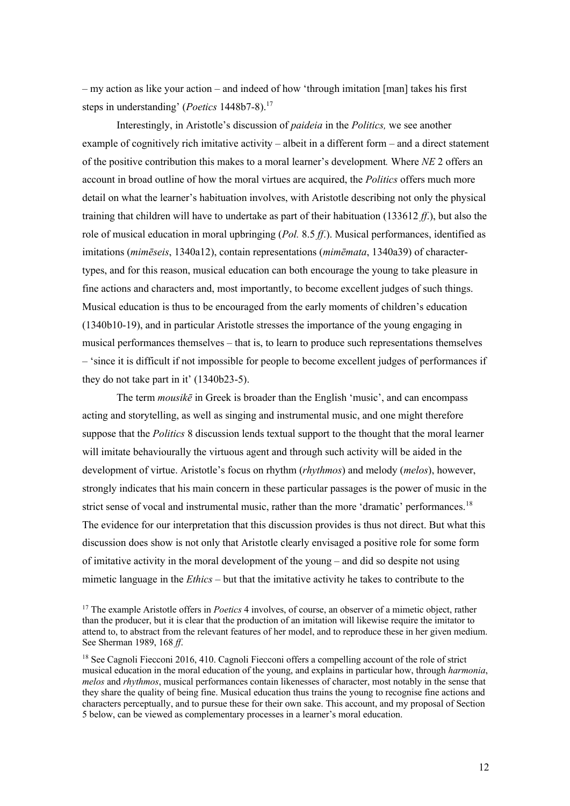– my action as like your action – and indeed of how 'through imitation [man] takes his first steps in understanding' (Poetics 1448b7-8).<sup>17</sup>

Interestingly, in Aristotle's discussion of *paideia* in the *Politics,* we see another example of cognitively rich imitative activity – albeit in a different form – and a direct statement of the positive contribution this makes to a moral learner's development*.* Where *NE* 2 offers an account in broad outline of how the moral virtues are acquired, the *Politics* offers much more detail on what the learner's habituation involves, with Aristotle describing not only the physical training that children will have to undertake as part of their habituation (133612 *ff*.), but also the role of musical education in moral upbringing (*Pol.* 8.5 *ff*.). Musical performances, identified as imitations (*mimēseis*, 1340a12), contain representations (*mimēmata*, 1340a39) of charactertypes, and for this reason, musical education can both encourage the young to take pleasure in fine actions and characters and, most importantly, to become excellent judges of such things. Musical education is thus to be encouraged from the early moments of children's education (1340b10-19), and in particular Aristotle stresses the importance of the young engaging in musical performances themselves – that is, to learn to produce such representations themselves – 'since it is difficult if not impossible for people to become excellent judges of performances if they do not take part in it' (1340b23-5).

The term *mousikē* in Greek is broader than the English 'music', and can encompass acting and storytelling, as well as singing and instrumental music, and one might therefore suppose that the *Politics* 8 discussion lends textual support to the thought that the moral learner will imitate behaviourally the virtuous agent and through such activity will be aided in the development of virtue. Aristotle's focus on rhythm (*rhythmos*) and melody (*melos*), however, strongly indicates that his main concern in these particular passages is the power of music in the strict sense of vocal and instrumental music, rather than the more 'dramatic' performances.<sup>18</sup> The evidence for our interpretation that this discussion provides is thus not direct. But what this discussion does show is not only that Aristotle clearly envisaged a positive role for some form of imitative activity in the moral development of the young – and did so despite not using mimetic language in the *Ethics* – but that the imitative activity he takes to contribute to the

<sup>&</sup>lt;sup>17</sup> The example Aristotle offers in *Poetics* 4 involves, of course, an observer of a mimetic object, rather than the producer, but it is clear that the production of an imitation will likewise require the imitator to attend to, to abstract from the relevant features of her model, and to reproduce these in her given medium. See Sherman 1989, 168 *ff*.

<sup>&</sup>lt;sup>18</sup> See Cagnoli Fiecconi 2016, 410. Cagnoli Fiecconi offers a compelling account of the role of strict musical education in the moral education of the young, and explains in particular how, through *harmonia*, *melos* and *rhythmos*, musical performances contain likenesses of character, most notably in the sense that they share the quality of being fine. Musical education thus trains the young to recognise fine actions and characters perceptually, and to pursue these for their own sake. This account, and my proposal of Section 5 below, can be viewed as complementary processes in a learner's moral education.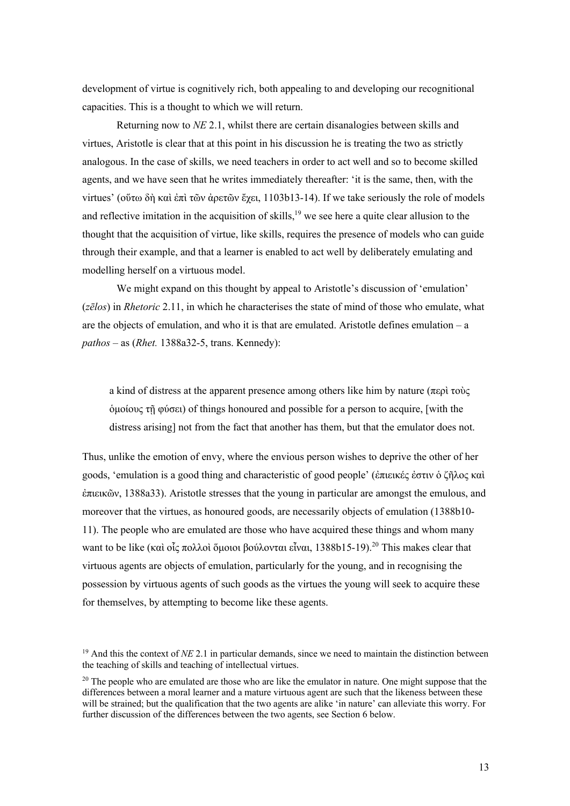development of virtue is cognitively rich, both appealing to and developing our recognitional capacities. This is a thought to which we will return.

Returning now to *NE* 2.1, whilst there are certain disanalogies between skills and virtues, Aristotle is clear that at this point in his discussion he is treating the two as strictly analogous. In the case of skills, we need teachers in order to act well and so to become skilled agents, and we have seen that he writes immediately thereafter: 'it is the same, then, with the virtues' (οὕτω δὴ καὶ ἐπὶ τῶν ἀρετῶν ἔχει, 1103b13-14). If we take seriously the role of models and reflective imitation in the acquisition of skills,<sup>19</sup> we see here a quite clear allusion to the thought that the acquisition of virtue, like skills, requires the presence of models who can guide through their example, and that a learner is enabled to act well by deliberately emulating and modelling herself on a virtuous model.

We might expand on this thought by appeal to Aristotle's discussion of 'emulation' (*zēlos*) in *Rhetoric* 2.11, in which he characterises the state of mind of those who emulate, what are the objects of emulation, and who it is that are emulated. Aristotle defines emulation  $-a$ *pathos* – as (*Rhet.* 1388a32-5, trans. Kennedy):

a kind of distress at the apparent presence among others like him by nature (περὶ τοὺς ὁμοίους τῇ φύσει) of things honoured and possible for a person to acquire, [with the distress arising] not from the fact that another has them, but that the emulator does not.

Thus, unlike the emotion of envy, where the envious person wishes to deprive the other of her goods, 'emulation is a good thing and characteristic of good people' (ἐπιεικές ἐστιν ὁ ζῆλος καὶ ἐπιεικῶν, 1388a33). Aristotle stresses that the young in particular are amongst the emulous, and moreover that the virtues, as honoured goods, are necessarily objects of emulation (1388b10- 11). The people who are emulated are those who have acquired these things and whom many want to be like (καὶ οἶς πολλοὶ ὅμοιοι βούλονται εἶναι, 1388b15-19).<sup>20</sup> This makes clear that virtuous agents are objects of emulation, particularly for the young, and in recognising the possession by virtuous agents of such goods as the virtues the young will seek to acquire these for themselves, by attempting to become like these agents.

<sup>&</sup>lt;sup>19</sup> And this the context of *NE* 2.1 in particular demands, since we need to maintain the distinction between the teaching of skills and teaching of intellectual virtues.

 $20$  The people who are emulated are those who are like the emulator in nature. One might suppose that the differences between a moral learner and a mature virtuous agent are such that the likeness between these will be strained; but the qualification that the two agents are alike 'in nature' can alleviate this worry. For further discussion of the differences between the two agents, see Section 6 below.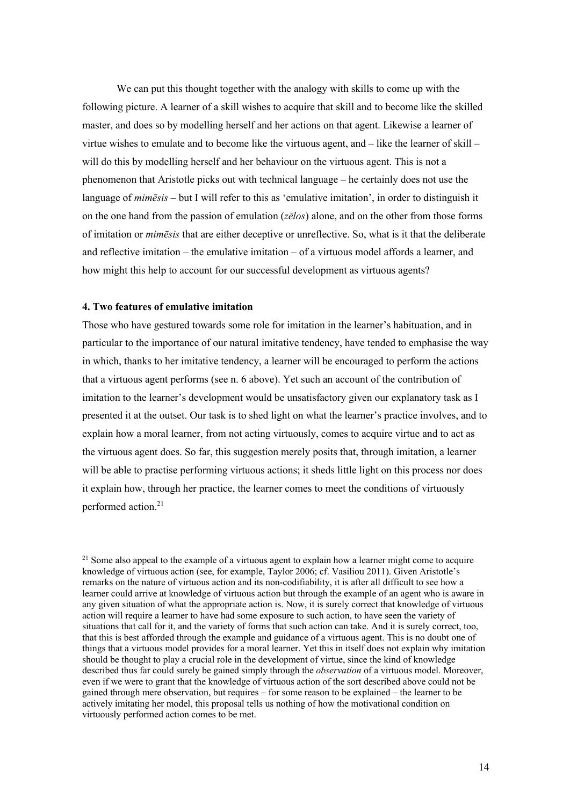We can put this thought together with the analogy with skills to come up with the following picture. A learner of a skill wishes to acquire that skill and to become like the skilled master, and does so by modelling herself and her actions on that agent. Likewise a learner of virtue wishes to emulate and to become like the virtuous agent, and – like the learner of skill – will do this by modelling herself and her behaviour on the virtuous agent. This is not a phenomenon that Aristotle picks out with technical language – he certainly does not use the language of *mimēsis* – but I will refer to this as 'emulative imitation', in order to distinguish it on the one hand from the passion of emulation (*zēlos*) alone, and on the other from those forms of imitation or *mimēsis* that are either deceptive or unreflective. So, what is it that the deliberate and reflective imitation – the emulative imitation – of a virtuous model affords a learner, and how might this help to account for our successful development as virtuous agents?

### **4. Two features of emulative imitation**

Those who have gestured towards some role for imitation in the learner's habituation, and in particular to the importance of our natural imitative tendency, have tended to emphasise the way in which, thanks to her imitative tendency, a learner will be encouraged to perform the actions that a virtuous agent performs (see n. 6 above). Yet such an account of the contribution of imitation to the learner's development would be unsatisfactory given our explanatory task as I presented it at the outset. Our task is to shed light on what the learner's practice involves, and to explain how a moral learner, from not acting virtuously, comes to acquire virtue and to act as the virtuous agent does. So far, this suggestion merely posits that, through imitation, a learner will be able to practise performing virtuous actions; it sheds little light on this process nor does it explain how, through her practice, the learner comes to meet the conditions of virtuously performed action.<sup>21</sup>

 $21$  Some also appeal to the example of a virtuous agent to explain how a learner might come to acquire knowledge of virtuous action (see, for example, Taylor 2006; cf. Vasiliou 2011). Given Aristotle's remarks on the nature of virtuous action and its non-codifiability, it is after all difficult to see how a learner could arrive at knowledge of virtuous action but through the example of an agent who is aware in any given situation of what the appropriate action is. Now, it is surely correct that knowledge of virtuous action will require a learner to have had some exposure to such action, to have seen the variety of situations that call for it, and the variety of forms that such action can take. And it is surely correct, too, that this is best afforded through the example and guidance of a virtuous agent. This is no doubt one of things that a virtuous model provides for a moral learner. Yet this in itself does not explain why imitation should be thought to play a crucial role in the development of virtue, since the kind of knowledge described thus far could surely be gained simply through the *observation* of a virtuous model. Moreover, even if we were to grant that the knowledge of virtuous action of the sort described above could not be gained through mere observation, but requires – for some reason to be explained – the learner to be actively imitating her model, this proposal tells us nothing of how the motivational condition on virtuously performed action comes to be met.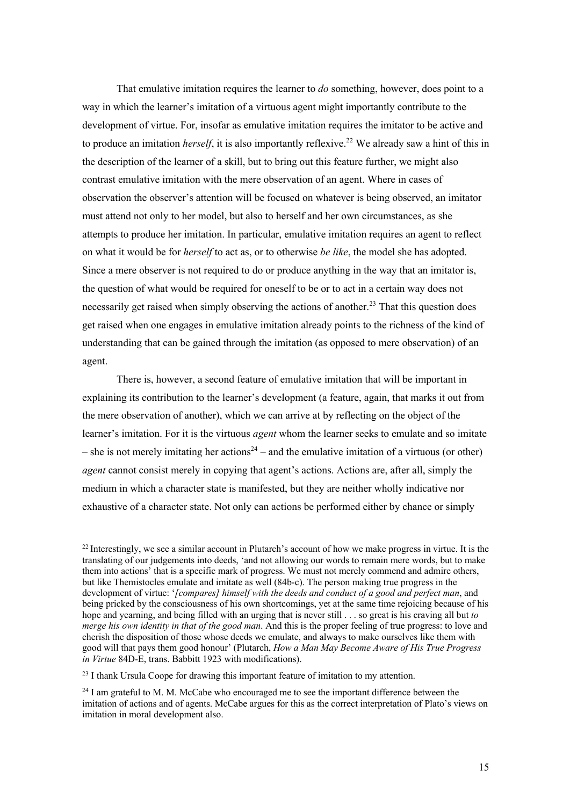That emulative imitation requires the learner to *do* something, however, does point to a way in which the learner's imitation of a virtuous agent might importantly contribute to the development of virtue. For, insofar as emulative imitation requires the imitator to be active and to produce an imitation *herself*, it is also importantly reflexive.<sup>22</sup> We already saw a hint of this in the description of the learner of a skill, but to bring out this feature further, we might also contrast emulative imitation with the mere observation of an agent. Where in cases of observation the observer's attention will be focused on whatever is being observed, an imitator must attend not only to her model, but also to herself and her own circumstances, as she attempts to produce her imitation. In particular, emulative imitation requires an agent to reflect on what it would be for *herself* to act as, or to otherwise *be like*, the model she has adopted. Since a mere observer is not required to do or produce anything in the way that an imitator is, the question of what would be required for oneself to be or to act in a certain way does not necessarily get raised when simply observing the actions of another.<sup>23</sup> That this question does get raised when one engages in emulative imitation already points to the richness of the kind of understanding that can be gained through the imitation (as opposed to mere observation) of an agent.

There is, however, a second feature of emulative imitation that will be important in explaining its contribution to the learner's development (a feature, again, that marks it out from the mere observation of another), which we can arrive at by reflecting on the object of the learner's imitation. For it is the virtuous *agent* whom the learner seeks to emulate and so imitate – she is not merely imitating her actions<sup>24</sup> – and the emulative imitation of a virtuous (or other) *agent* cannot consist merely in copying that agent's actions. Actions are, after all, simply the medium in which a character state is manifested, but they are neither wholly indicative nor exhaustive of a character state. Not only can actions be performed either by chance or simply

<sup>23</sup> I thank Ursula Coope for drawing this important feature of imitation to my attention.

<sup>&</sup>lt;sup>22</sup> Interestingly, we see a similar account in Plutarch's account of how we make progress in virtue. It is the translating of our judgements into deeds, 'and not allowing our words to remain mere words, but to make them into actions' that is a specific mark of progress. We must not merely commend and admire others, but like Themistocles emulate and imitate as well (84b-c). The person making true progress in the development of virtue: '*[compares] himself with the deeds and conduct of a good and perfect man*, and being pricked by the consciousness of his own shortcomings, yet at the same time rejoicing because of his hope and yearning, and being filled with an urging that is never still . . . so great is his craving all but *to merge his own identity in that of the good man*. And this is the proper feeling of true progress: to love and cherish the disposition of those whose deeds we emulate, and always to make ourselves like them with good will that pays them good honour' (Plutarch, *How a Man May Become Aware of His True Progress in Virtue* 84D-E, trans. Babbitt 1923 with modifications).

 $24$  I am grateful to M. M. McCabe who encouraged me to see the important difference between the imitation of actions and of agents. McCabe argues for this as the correct interpretation of Plato's views on imitation in moral development also.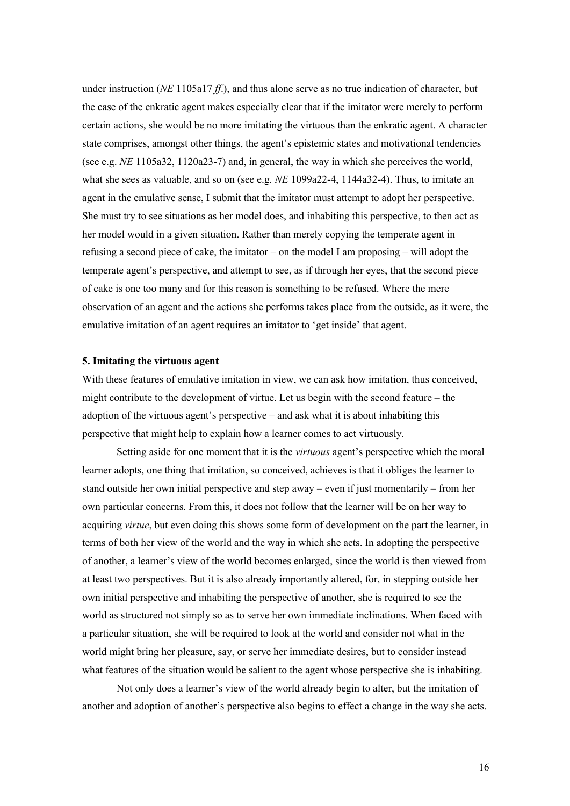under instruction (*NE* 1105a17 *ff*.), and thus alone serve as no true indication of character, but the case of the enkratic agent makes especially clear that if the imitator were merely to perform certain actions, she would be no more imitating the virtuous than the enkratic agent. A character state comprises, amongst other things, the agent's epistemic states and motivational tendencies (see e.g. *NE* 1105a32, 1120a23-7) and, in general, the way in which she perceives the world, what she sees as valuable, and so on (see e.g. *NE* 1099a22-4, 1144a32-4). Thus, to imitate an agent in the emulative sense, I submit that the imitator must attempt to adopt her perspective. She must try to see situations as her model does, and inhabiting this perspective, to then act as her model would in a given situation. Rather than merely copying the temperate agent in refusing a second piece of cake, the imitator – on the model I am proposing – will adopt the temperate agent's perspective, and attempt to see, as if through her eyes, that the second piece of cake is one too many and for this reason is something to be refused. Where the mere observation of an agent and the actions she performs takes place from the outside, as it were, the emulative imitation of an agent requires an imitator to 'get inside' that agent.

### **5. Imitating the virtuous agent**

With these features of emulative imitation in view, we can ask how imitation, thus conceived, might contribute to the development of virtue. Let us begin with the second feature – the adoption of the virtuous agent's perspective – and ask what it is about inhabiting this perspective that might help to explain how a learner comes to act virtuously.

Setting aside for one moment that it is the *virtuous* agent's perspective which the moral learner adopts, one thing that imitation, so conceived, achieves is that it obliges the learner to stand outside her own initial perspective and step away – even if just momentarily – from her own particular concerns. From this, it does not follow that the learner will be on her way to acquiring *virtue*, but even doing this shows some form of development on the part the learner, in terms of both her view of the world and the way in which she acts. In adopting the perspective of another, a learner's view of the world becomes enlarged, since the world is then viewed from at least two perspectives. But it is also already importantly altered, for, in stepping outside her own initial perspective and inhabiting the perspective of another, she is required to see the world as structured not simply so as to serve her own immediate inclinations. When faced with a particular situation, she will be required to look at the world and consider not what in the world might bring her pleasure, say, or serve her immediate desires, but to consider instead what features of the situation would be salient to the agent whose perspective she is inhabiting.

Not only does a learner's view of the world already begin to alter, but the imitation of another and adoption of another's perspective also begins to effect a change in the way she acts.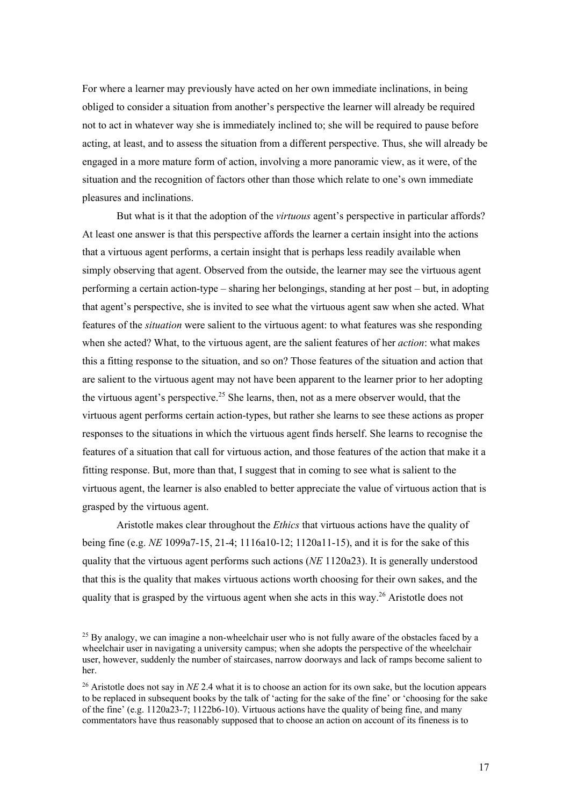For where a learner may previously have acted on her own immediate inclinations, in being obliged to consider a situation from another's perspective the learner will already be required not to act in whatever way she is immediately inclined to; she will be required to pause before acting, at least, and to assess the situation from a different perspective. Thus, she will already be engaged in a more mature form of action, involving a more panoramic view, as it were, of the situation and the recognition of factors other than those which relate to one's own immediate pleasures and inclinations.

But what is it that the adoption of the *virtuous* agent's perspective in particular affords? At least one answer is that this perspective affords the learner a certain insight into the actions that a virtuous agent performs, a certain insight that is perhaps less readily available when simply observing that agent. Observed from the outside, the learner may see the virtuous agent performing a certain action-type – sharing her belongings, standing at her post – but, in adopting that agent's perspective, she is invited to see what the virtuous agent saw when she acted. What features of the *situation* were salient to the virtuous agent: to what features was she responding when she acted? What, to the virtuous agent, are the salient features of her *action*: what makes this a fitting response to the situation, and so on? Those features of the situation and action that are salient to the virtuous agent may not have been apparent to the learner prior to her adopting the virtuous agent's perspective.<sup>25</sup> She learns, then, not as a mere observer would, that the virtuous agent performs certain action-types, but rather she learns to see these actions as proper responses to the situations in which the virtuous agent finds herself. She learns to recognise the features of a situation that call for virtuous action, and those features of the action that make it a fitting response. But, more than that, I suggest that in coming to see what is salient to the virtuous agent, the learner is also enabled to better appreciate the value of virtuous action that is grasped by the virtuous agent.

Aristotle makes clear throughout the *Ethics* that virtuous actions have the quality of being fine (e.g. *NE* 1099a7-15, 21-4; 1116a10-12; 1120a11-15), and it is for the sake of this quality that the virtuous agent performs such actions (*NE* 1120a23). It is generally understood that this is the quality that makes virtuous actions worth choosing for their own sakes, and the quality that is grasped by the virtuous agent when she acts in this way.<sup>26</sup> Aristotle does not

<sup>&</sup>lt;sup>25</sup> By analogy, we can imagine a non-wheelchair user who is not fully aware of the obstacles faced by a wheelchair user in navigating a university campus; when she adopts the perspective of the wheelchair user, however, suddenly the number of staircases, narrow doorways and lack of ramps become salient to her.

<sup>&</sup>lt;sup>26</sup> Aristotle does not say in *NE* 2.4 what it is to choose an action for its own sake, but the locution appears to be replaced in subsequent books by the talk of 'acting for the sake of the fine' or 'choosing for the sake of the fine' (e.g. 1120a23-7; 1122b6-10). Virtuous actions have the quality of being fine, and many commentators have thus reasonably supposed that to choose an action on account of its fineness is to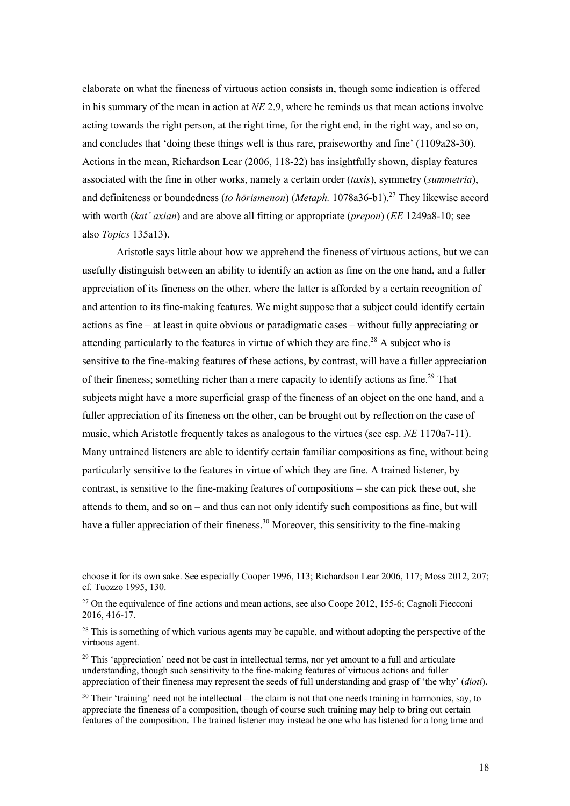elaborate on what the fineness of virtuous action consists in, though some indication is offered in his summary of the mean in action at *NE* 2.9, where he reminds us that mean actions involve acting towards the right person, at the right time, for the right end, in the right way, and so on, and concludes that 'doing these things well is thus rare, praiseworthy and fine' (1109a28-30). Actions in the mean, Richardson Lear (2006, 118-22) has insightfully shown, display features associated with the fine in other works, namely a certain order (*taxis*), symmetry (*summetria*), and definiteness or boundedness (*to hōrismenon*) (*Metaph.* 1078a36-b1). <sup>27</sup> They likewise accord with worth (*kat' axian*) and are above all fitting or appropriate (*prepon*) (*EE* 1249a8-10; see also *Topics* 135a13).

Aristotle says little about how we apprehend the fineness of virtuous actions, but we can usefully distinguish between an ability to identify an action as fine on the one hand, and a fuller appreciation of its fineness on the other, where the latter is afforded by a certain recognition of and attention to its fine-making features. We might suppose that a subject could identify certain actions as fine – at least in quite obvious or paradigmatic cases – without fully appreciating or attending particularly to the features in virtue of which they are fine.<sup>28</sup> A subject who is sensitive to the fine-making features of these actions, by contrast, will have a fuller appreciation of their fineness; something richer than a mere capacity to identify actions as fine.<sup>29</sup> That subjects might have a more superficial grasp of the fineness of an object on the one hand, and a fuller appreciation of its fineness on the other, can be brought out by reflection on the case of music, which Aristotle frequently takes as analogous to the virtues (see esp. *NE* 1170a7-11). Many untrained listeners are able to identify certain familiar compositions as fine, without being particularly sensitive to the features in virtue of which they are fine. A trained listener, by contrast, is sensitive to the fine-making features of compositions – she can pick these out, she attends to them, and so on – and thus can not only identify such compositions as fine, but will have a fuller appreciation of their fineness.<sup>30</sup> Moreover, this sensitivity to the fine-making

choose it for its own sake. See especially Cooper 1996, 113; Richardson Lear 2006, 117; Moss 2012, 207; cf. Tuozzo 1995, 130.

 $27$  On the equivalence of fine actions and mean actions, see also Coope 2012, 155-6; Cagnoli Fiecconi 2016, 416-17.

<sup>28</sup> This is something of which various agents may be capable, and without adopting the perspective of the virtuous agent.

<sup>29</sup> This 'appreciation' need not be cast in intellectual terms, nor yet amount to a full and articulate understanding, though such sensitivity to the fine-making features of virtuous actions and fuller appreciation of their fineness may represent the seeds of full understanding and grasp of 'the why' (*dioti*).

<sup>30</sup> Their 'training' need not be intellectual – the claim is not that one needs training in harmonics, say, to appreciate the fineness of a composition, though of course such training may help to bring out certain features of the composition. The trained listener may instead be one who has listened for a long time and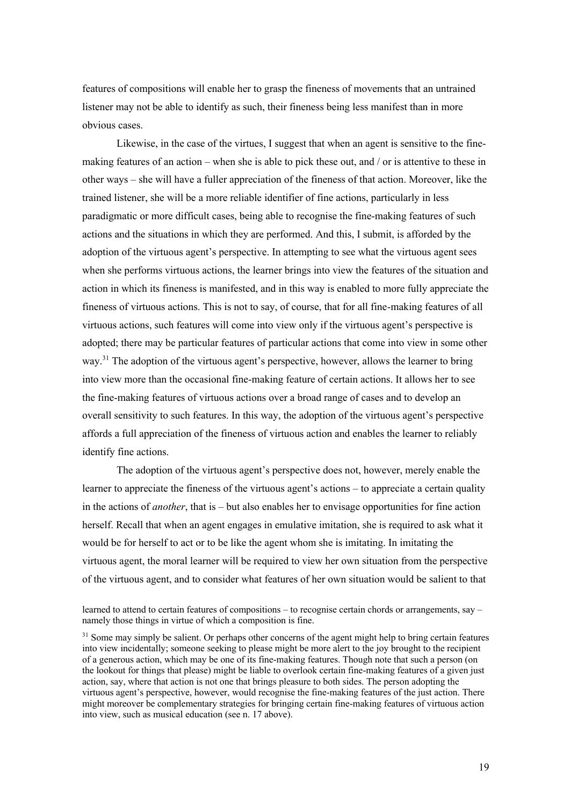features of compositions will enable her to grasp the fineness of movements that an untrained listener may not be able to identify as such, their fineness being less manifest than in more obvious cases.

Likewise, in the case of the virtues, I suggest that when an agent is sensitive to the finemaking features of an action – when she is able to pick these out, and / or is attentive to these in other ways – she will have a fuller appreciation of the fineness of that action. Moreover, like the trained listener, she will be a more reliable identifier of fine actions, particularly in less paradigmatic or more difficult cases, being able to recognise the fine-making features of such actions and the situations in which they are performed. And this, I submit, is afforded by the adoption of the virtuous agent's perspective. In attempting to see what the virtuous agent sees when she performs virtuous actions, the learner brings into view the features of the situation and action in which its fineness is manifested, and in this way is enabled to more fully appreciate the fineness of virtuous actions. This is not to say, of course, that for all fine-making features of all virtuous actions, such features will come into view only if the virtuous agent's perspective is adopted; there may be particular features of particular actions that come into view in some other way.<sup>31</sup> The adoption of the virtuous agent's perspective, however, allows the learner to bring into view more than the occasional fine-making feature of certain actions. It allows her to see the fine-making features of virtuous actions over a broad range of cases and to develop an overall sensitivity to such features. In this way, the adoption of the virtuous agent's perspective affords a full appreciation of the fineness of virtuous action and enables the learner to reliably identify fine actions.

The adoption of the virtuous agent's perspective does not, however, merely enable the learner to appreciate the fineness of the virtuous agent's actions – to appreciate a certain quality in the actions of *another*, that is – but also enables her to envisage opportunities for fine action herself. Recall that when an agent engages in emulative imitation, she is required to ask what it would be for herself to act or to be like the agent whom she is imitating. In imitating the virtuous agent, the moral learner will be required to view her own situation from the perspective of the virtuous agent, and to consider what features of her own situation would be salient to that

learned to attend to certain features of compositions – to recognise certain chords or arrangements, say – namely those things in virtue of which a composition is fine.

 $31$  Some may simply be salient. Or perhaps other concerns of the agent might help to bring certain features into view incidentally; someone seeking to please might be more alert to the joy brought to the recipient of a generous action, which may be one of its fine-making features. Though note that such a person (on the lookout for things that please) might be liable to overlook certain fine-making features of a given just action, say, where that action is not one that brings pleasure to both sides. The person adopting the virtuous agent's perspective, however, would recognise the fine-making features of the just action. There might moreover be complementary strategies for bringing certain fine-making features of virtuous action into view, such as musical education (see n. 17 above).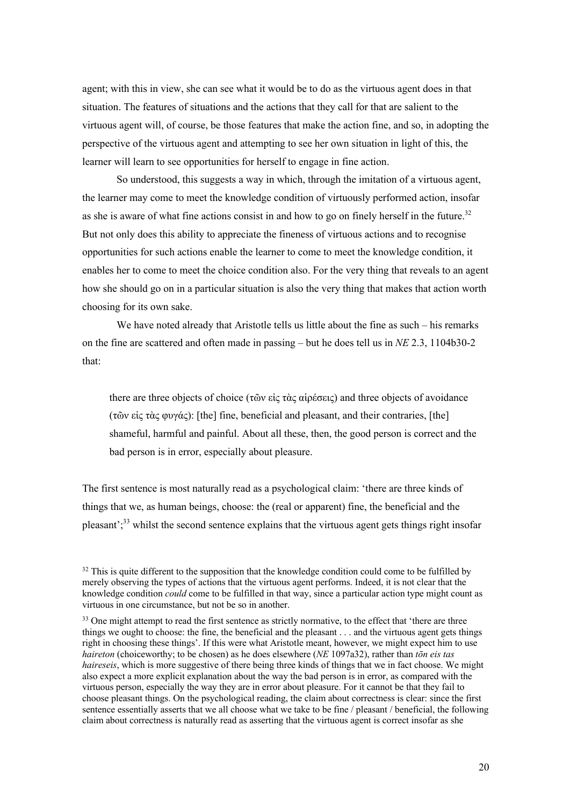agent; with this in view, she can see what it would be to do as the virtuous agent does in that situation. The features of situations and the actions that they call for that are salient to the virtuous agent will, of course, be those features that make the action fine, and so, in adopting the perspective of the virtuous agent and attempting to see her own situation in light of this, the learner will learn to see opportunities for herself to engage in fine action.

So understood, this suggests a way in which, through the imitation of a virtuous agent, the learner may come to meet the knowledge condition of virtuously performed action, insofar as she is aware of what fine actions consist in and how to go on finely herself in the future.<sup>32</sup> But not only does this ability to appreciate the fineness of virtuous actions and to recognise opportunities for such actions enable the learner to come to meet the knowledge condition, it enables her to come to meet the choice condition also. For the very thing that reveals to an agent how she should go on in a particular situation is also the very thing that makes that action worth choosing for its own sake.

We have noted already that Aristotle tells us little about the fine as such – his remarks on the fine are scattered and often made in passing – but he does tell us in *NE* 2.3, 1104b30-2 that:

there are three objects of choice (τῶν εἰς τὰς αἱρέσεις) and three objects of avoidance (τῶν εἰς τὰς φυγάς): [the] fine, beneficial and pleasant, and their contraries, [the] shameful, harmful and painful. About all these, then, the good person is correct and the bad person is in error, especially about pleasure.

The first sentence is most naturally read as a psychological claim: 'there are three kinds of things that we, as human beings, choose: the (real or apparent) fine, the beneficial and the pleasant';33 whilst the second sentence explains that the virtuous agent gets things right insofar

 $32$  This is quite different to the supposition that the knowledge condition could come to be fulfilled by merely observing the types of actions that the virtuous agent performs. Indeed, it is not clear that the knowledge condition *could* come to be fulfilled in that way, since a particular action type might count as virtuous in one circumstance, but not be so in another.

<sup>&</sup>lt;sup>33</sup> One might attempt to read the first sentence as strictly normative, to the effect that 'there are three things we ought to choose: the fine, the beneficial and the pleasant . . . and the virtuous agent gets things right in choosing these things'. If this were what Aristotle meant, however, we might expect him to use *haireton* (choiceworthy; to be chosen) as he does elsewhere (*NE* 1097a32), rather than *tōn eis tas haireseis*, which is more suggestive of there being three kinds of things that we in fact choose. We might also expect a more explicit explanation about the way the bad person is in error, as compared with the virtuous person, especially the way they are in error about pleasure. For it cannot be that they fail to choose pleasant things. On the psychological reading, the claim about correctness is clear: since the first sentence essentially asserts that we all choose what we take to be fine / pleasant / beneficial, the following claim about correctness is naturally read as asserting that the virtuous agent is correct insofar as she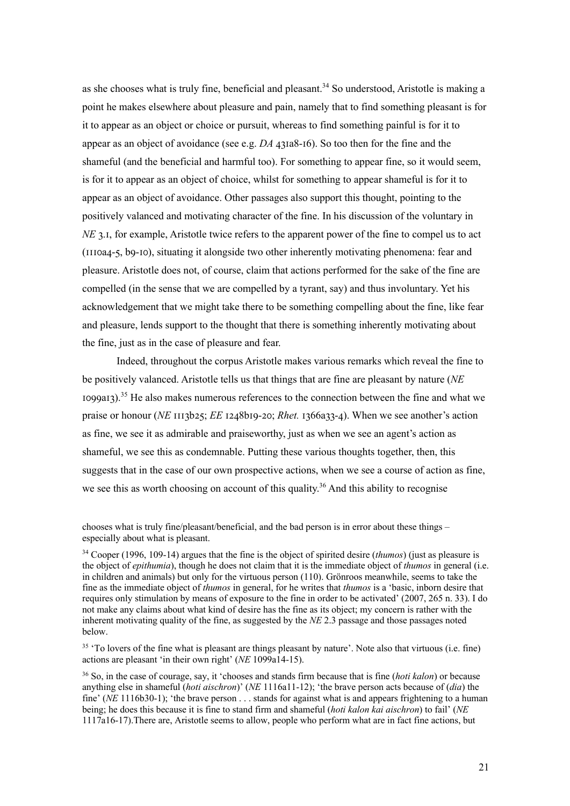as she chooses what is truly fine, beneficial and pleasant.<sup>34</sup> So understood, Aristotle is making a point he makes elsewhere about pleasure and pain, namely that to find something pleasant is for it to appear as an object or choice or pursuit, whereas to find something painful is for it to appear as an object of avoidance (see e.g.  $DA$   $431a8-16$ ). So too then for the fine and the shameful (and the beneficial and harmful too). For something to appear fine, so it would seem, is for it to appear as an object of choice, whilst for something to appear shameful is for it to appear as an object of avoidance. Other passages also support this thought, pointing to the positively valanced and motivating character of the fine. In his discussion of the voluntary in *NE* 3.1, for example, Aristotle twice refers to the apparent power of the fine to compel us to act (HIOa4-5, b9-IO), situating it alongside two other inherently motivating phenomena: fear and pleasure. Aristotle does not, of course, claim that actions performed for the sake of the fine are compelled (in the sense that we are compelled by a tyrant, say) and thus involuntary. Yet his acknowledgement that we might take there to be something compelling about the fine, like fear and pleasure, lends support to the thought that there is something inherently motivating about the fine, just as in the case of pleasure and fear.

Indeed, throughout the corpus Aristotle makes various remarks which reveal the fine to be positively valanced. Aristotle tells us that things that are fine are pleasant by nature (*NE*   $[1099a13]$ .<sup>35</sup> He also makes numerous references to the connection between the fine and what we praise or honour ( $NE$   $III3b25$ ;  $EE$   $I248b19-20$ ; *Rhet.*  $I366a33-4$ ). When we see another's action as fine, we see it as admirable and praiseworthy, just as when we see an agent's action as shameful, we see this as condemnable. Putting these various thoughts together, then, this suggests that in the case of our own prospective actions, when we see a course of action as fine, we see this as worth choosing on account of this quality.<sup>36</sup> And this ability to recognise

chooses what is truly fine/pleasant/beneficial, and the bad person is in error about these things – especially about what is pleasant.

<sup>34</sup> Cooper (1996, 109-14) argues that the fine is the object of spirited desire (*thumos*) (just as pleasure is the object of *epithumia*), though he does not claim that it is the immediate object of *thumos* in general (i.e. in children and animals) but only for the virtuous person (110). Grönroos meanwhile, seems to take the fine as the immediate object of *thumos* in general, for he writes that *thumos* is a 'basic, inborn desire that requires only stimulation by means of exposure to the fine in order to be activated' (2007, 265 n. 33). I do not make any claims about what kind of desire has the fine as its object; my concern is rather with the inherent motivating quality of the fine, as suggested by the *NE* 2.3 passage and those passages noted below.

<sup>35</sup> 'To lovers of the fine what is pleasant are things pleasant by nature'. Note also that virtuous (i.e. fine) actions are pleasant 'in their own right' (*NE* 1099a14-15).

<sup>36</sup> So, in the case of courage, say, it 'chooses and stands firm because that is fine (*hoti kalon*) or because anything else in shameful (*hoti aischron*)' (*NE* 1116a11-12); 'the brave person acts because of (*dia*) the fine' (*NE* 1116b30-1); 'the brave person . . . stands for against what is and appears frightening to a human being; he does this because it is fine to stand firm and shameful (*hoti kalon kai aischron*) to fail' (*NE*  1117a16-17).There are, Aristotle seems to allow, people who perform what are in fact fine actions, but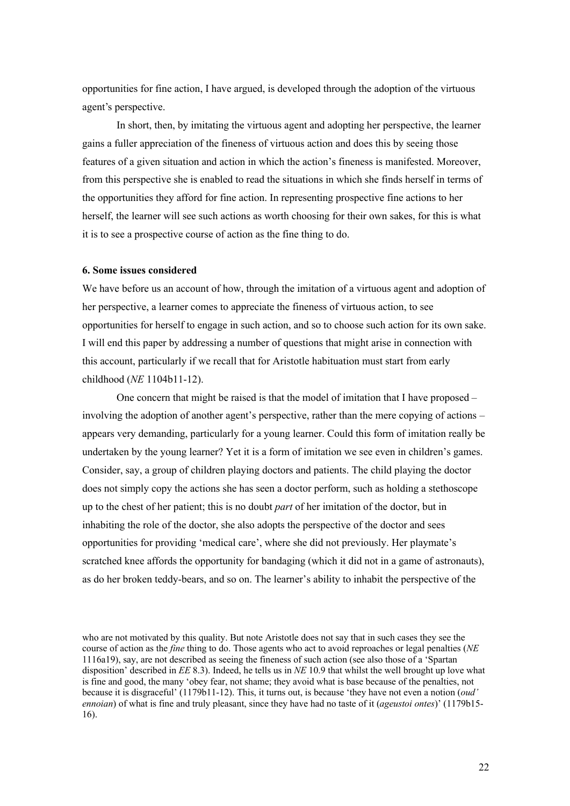opportunities for fine action, I have argued, is developed through the adoption of the virtuous agent's perspective.

In short, then, by imitating the virtuous agent and adopting her perspective, the learner gains a fuller appreciation of the fineness of virtuous action and does this by seeing those features of a given situation and action in which the action's fineness is manifested. Moreover, from this perspective she is enabled to read the situations in which she finds herself in terms of the opportunities they afford for fine action. In representing prospective fine actions to her herself, the learner will see such actions as worth choosing for their own sakes, for this is what it is to see a prospective course of action as the fine thing to do.

# **6. Some issues considered**

We have before us an account of how, through the imitation of a virtuous agent and adoption of her perspective, a learner comes to appreciate the fineness of virtuous action, to see opportunities for herself to engage in such action, and so to choose such action for its own sake. I will end this paper by addressing a number of questions that might arise in connection with this account, particularly if we recall that for Aristotle habituation must start from early childhood (*NE* 1104b11-12).

One concern that might be raised is that the model of imitation that I have proposed – involving the adoption of another agent's perspective, rather than the mere copying of actions – appears very demanding, particularly for a young learner. Could this form of imitation really be undertaken by the young learner? Yet it is a form of imitation we see even in children's games. Consider, say, a group of children playing doctors and patients. The child playing the doctor does not simply copy the actions she has seen a doctor perform, such as holding a stethoscope up to the chest of her patient; this is no doubt *part* of her imitation of the doctor, but in inhabiting the role of the doctor, she also adopts the perspective of the doctor and sees opportunities for providing 'medical care', where she did not previously. Her playmate's scratched knee affords the opportunity for bandaging (which it did not in a game of astronauts), as do her broken teddy-bears, and so on. The learner's ability to inhabit the perspective of the

who are not motivated by this quality. But note Aristotle does not say that in such cases they see the course of action as the *fine* thing to do. Those agents who act to avoid reproaches or legal penalties (*NE*  1116a19), say, are not described as seeing the fineness of such action (see also those of a 'Spartan disposition' described in *EE* 8.3). Indeed, he tells us in *NE* 10.9 that whilst the well brought up love what is fine and good, the many 'obey fear, not shame; they avoid what is base because of the penalties, not because it is disgraceful' (1179b11-12). This, it turns out, is because 'they have not even a notion (*oud' ennoian*) of what is fine and truly pleasant, since they have had no taste of it (*ageustoi ontes*)' (1179b15- 16).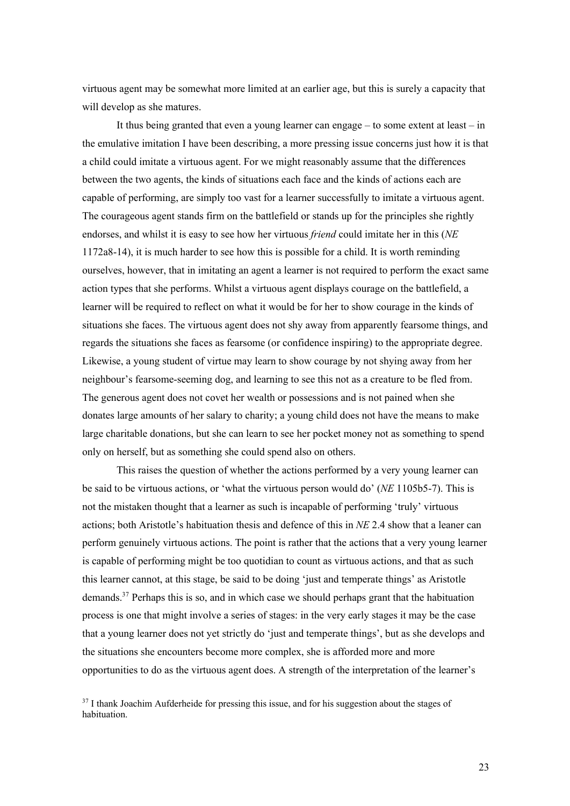virtuous agent may be somewhat more limited at an earlier age, but this is surely a capacity that will develop as she matures.

It thus being granted that even a young learner can engage – to some extent at least – in the emulative imitation I have been describing, a more pressing issue concerns just how it is that a child could imitate a virtuous agent. For we might reasonably assume that the differences between the two agents, the kinds of situations each face and the kinds of actions each are capable of performing, are simply too vast for a learner successfully to imitate a virtuous agent. The courageous agent stands firm on the battlefield or stands up for the principles she rightly endorses, and whilst it is easy to see how her virtuous *friend* could imitate her in this (*NE*  1172a8-14), it is much harder to see how this is possible for a child. It is worth reminding ourselves, however, that in imitating an agent a learner is not required to perform the exact same action types that she performs. Whilst a virtuous agent displays courage on the battlefield, a learner will be required to reflect on what it would be for her to show courage in the kinds of situations she faces. The virtuous agent does not shy away from apparently fearsome things, and regards the situations she faces as fearsome (or confidence inspiring) to the appropriate degree. Likewise, a young student of virtue may learn to show courage by not shying away from her neighbour's fearsome-seeming dog, and learning to see this not as a creature to be fled from. The generous agent does not covet her wealth or possessions and is not pained when she donates large amounts of her salary to charity; a young child does not have the means to make large charitable donations, but she can learn to see her pocket money not as something to spend only on herself, but as something she could spend also on others.

This raises the question of whether the actions performed by a very young learner can be said to be virtuous actions, or 'what the virtuous person would do' (*NE* 1105b5-7). This is not the mistaken thought that a learner as such is incapable of performing 'truly' virtuous actions; both Aristotle's habituation thesis and defence of this in *NE* 2.4 show that a leaner can perform genuinely virtuous actions. The point is rather that the actions that a very young learner is capable of performing might be too quotidian to count as virtuous actions, and that as such this learner cannot, at this stage, be said to be doing 'just and temperate things' as Aristotle demands.<sup>37</sup> Perhaps this is so, and in which case we should perhaps grant that the habituation process is one that might involve a series of stages: in the very early stages it may be the case that a young learner does not yet strictly do 'just and temperate things', but as she develops and the situations she encounters become more complex, she is afforded more and more opportunities to do as the virtuous agent does. A strength of the interpretation of the learner's

<sup>37</sup> I thank Joachim Aufderheide for pressing this issue, and for his suggestion about the stages of habituation.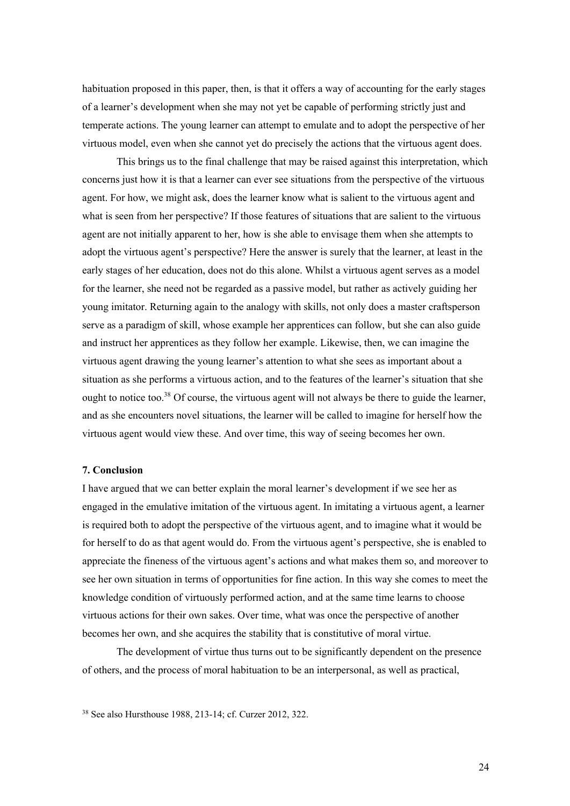habituation proposed in this paper, then, is that it offers a way of accounting for the early stages of a learner's development when she may not yet be capable of performing strictly just and temperate actions. The young learner can attempt to emulate and to adopt the perspective of her virtuous model, even when she cannot yet do precisely the actions that the virtuous agent does.

This brings us to the final challenge that may be raised against this interpretation, which concerns just how it is that a learner can ever see situations from the perspective of the virtuous agent. For how, we might ask, does the learner know what is salient to the virtuous agent and what is seen from her perspective? If those features of situations that are salient to the virtuous agent are not initially apparent to her, how is she able to envisage them when she attempts to adopt the virtuous agent's perspective? Here the answer is surely that the learner, at least in the early stages of her education, does not do this alone. Whilst a virtuous agent serves as a model for the learner, she need not be regarded as a passive model, but rather as actively guiding her young imitator. Returning again to the analogy with skills, not only does a master craftsperson serve as a paradigm of skill, whose example her apprentices can follow, but she can also guide and instruct her apprentices as they follow her example. Likewise, then, we can imagine the virtuous agent drawing the young learner's attention to what she sees as important about a situation as she performs a virtuous action, and to the features of the learner's situation that she ought to notice too.<sup>38</sup> Of course, the virtuous agent will not always be there to guide the learner, and as she encounters novel situations, the learner will be called to imagine for herself how the virtuous agent would view these. And over time, this way of seeing becomes her own.

#### **7. Conclusion**

I have argued that we can better explain the moral learner's development if we see her as engaged in the emulative imitation of the virtuous agent. In imitating a virtuous agent, a learner is required both to adopt the perspective of the virtuous agent, and to imagine what it would be for herself to do as that agent would do. From the virtuous agent's perspective, she is enabled to appreciate the fineness of the virtuous agent's actions and what makes them so, and moreover to see her own situation in terms of opportunities for fine action. In this way she comes to meet the knowledge condition of virtuously performed action, and at the same time learns to choose virtuous actions for their own sakes. Over time, what was once the perspective of another becomes her own, and she acquires the stability that is constitutive of moral virtue.

The development of virtue thus turns out to be significantly dependent on the presence of others, and the process of moral habituation to be an interpersonal, as well as practical,

<sup>38</sup> See also Hursthouse 1988, 213-14; cf. Curzer 2012, 322.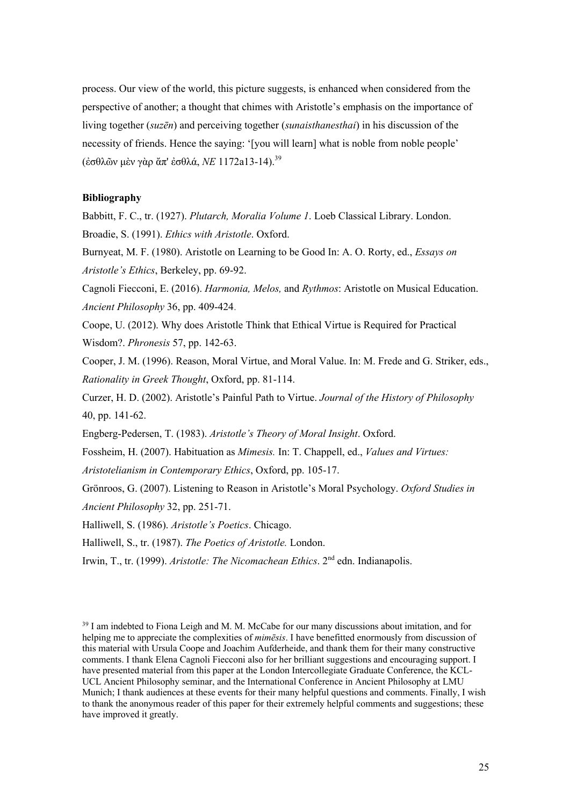process. Our view of the world, this picture suggests, is enhanced when considered from the perspective of another; a thought that chimes with Aristotle's emphasis on the importance of living together (*suzēn*) and perceiving together (*sunaisthanesthai*) in his discussion of the necessity of friends. Hence the saying: '[you will learn] what is noble from noble people' (ἐσθλῶν μὲν γὰρ ἄπ' ἐσθλά, *NE* 1172a13-14).39

### **Bibliography**

Babbitt, F. C., tr. (1927). *Plutarch, Moralia Volume 1*. Loeb Classical Library. London. Broadie, S. (1991). *Ethics with Aristotle*. Oxford.

Burnyeat, M. F. (1980). Aristotle on Learning to be Good In: A. O. Rorty, ed., *Essays on Aristotle's Ethics*, Berkeley, pp. 69-92.

Cagnoli Fiecconi, E. (2016). *Harmonia, Melos,* and *Rythmos*: Aristotle on Musical Education. *Ancient Philosophy* 36, pp. 409-424.

Coope, U. (2012). Why does Aristotle Think that Ethical Virtue is Required for Practical Wisdom?. *Phronesis* 57, pp. 142-63.

Cooper, J. M. (1996). Reason, Moral Virtue, and Moral Value. In: M. Frede and G. Striker, eds., *Rationality in Greek Thought*, Oxford, pp. 81-114.

Curzer, H. D. (2002). Aristotle's Painful Path to Virtue. *Journal of the History of Philosophy* 40, pp. 141-62.

Engberg-Pedersen, T. (1983). *Aristotle's Theory of Moral Insight*. Oxford.

Fossheim, H. (2007). Habituation as *Mimesis.* In: T. Chappell, ed., *Values and Virtues:* 

*Aristotelianism in Contemporary Ethics*, Oxford, pp. 105-17.

Grönroos, G. (2007). Listening to Reason in Aristotle's Moral Psychology. *Oxford Studies in Ancient Philosophy* 32, pp. 251-71.

Halliwell, S. (1986). *Aristotle's Poetics*. Chicago.

Halliwell, S., tr. (1987). *The Poetics of Aristotle.* London.

Irwin, T., tr. (1999). *Aristotle: The Nicomachean Ethics*. 2nd edn. Indianapolis.

<sup>&</sup>lt;sup>39</sup> I am indebted to Fiona Leigh and M. M. McCabe for our many discussions about imitation, and for helping me to appreciate the complexities of *mimēsis*. I have benefitted enormously from discussion of this material with Ursula Coope and Joachim Aufderheide, and thank them for their many constructive comments. I thank Elena Cagnoli Fiecconi also for her brilliant suggestions and encouraging support. I have presented material from this paper at the London Intercollegiate Graduate Conference, the KCL-UCL Ancient Philosophy seminar, and the International Conference in Ancient Philosophy at LMU Munich; I thank audiences at these events for their many helpful questions and comments. Finally, I wish to thank the anonymous reader of this paper for their extremely helpful comments and suggestions; these have improved it greatly.